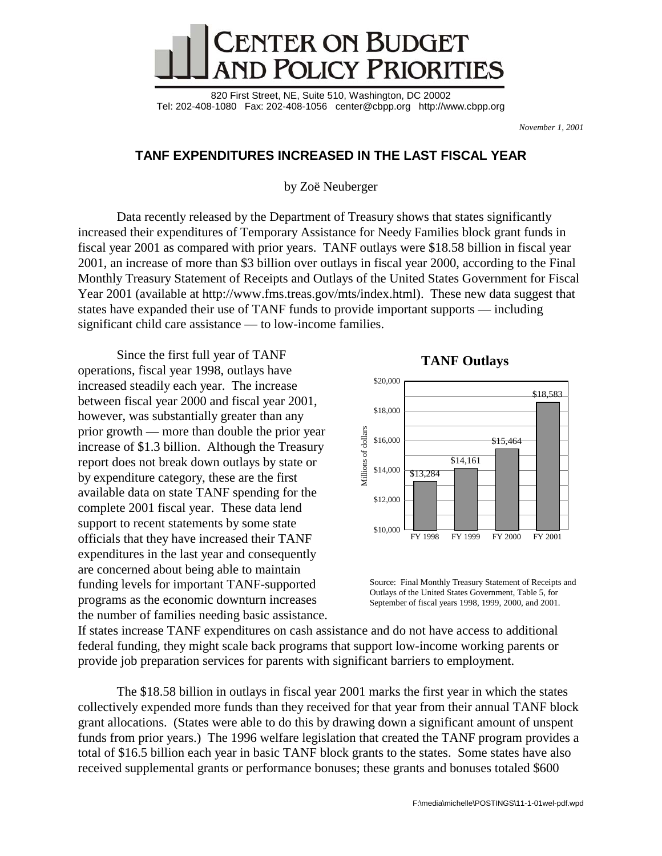

820 First Street, NE, Suite 510, Washington, DC 20002 Tel: 202-408-1080 Fax: 202-408-1056 center@cbpp.org <http://www.cbpp.org>

*November 1, 2001*

## **TANF EXPENDITURES INCREASED IN THE LAST FISCAL YEAR**

by Zoë Neuberger

Data recently released by the Department of Treasury shows that states significantly increased their expenditures of Temporary Assistance for Needy Families block grant funds in fiscal year 2001 as compared with prior years. TANF outlays were \$18.58 billion in fiscal year 2001, an increase of more than \$3 billion over outlays in fiscal year 2000, according to the Final Monthly Treasury Statement of Receipts and Outlays of the United States Government for Fiscal Year 2001 (available at [http://www.fms.treas.gov/mts/index.htm](http://www.fms.treas.gov/mts/index.html)l).These new data suggest that states have expanded their use of TANF funds to provide important supports — including significant child care assistance — to low-income families.

Since the first full year of TANF operations, fiscal year 1998, outlays have increased steadily each year. The increase between fiscal year 2000 and fiscal year 2001, however, was substantially greater than any prior growth — more than double the prior year increase of \$1.3 billion. Although the Treasury report does not break down outlays by state or by expenditure category, these are the first available data on state TANF spending for the complete 2001 fiscal year. These data lend support to recent statements by some state officials that they have increased their TANF expenditures in the last year and consequently are concerned about being able to maintain funding levels for important TANF-supported programs as the economic downturn increases the number of families needing basic assistance.



Source: Final Monthly Treasury Statement of Receipts and Outlays of the United States Government, Table 5, for September of fiscal years 1998, 1999, 2000, and 2001.

If states increase TANF expenditures on cash assistance and do not have access to additional federal funding, they might scale back programs that support low-income working parents or provide job preparation services for parents with significant barriers to employment.

The \$18.58 billion in outlays in fiscal year 2001 marks the first year in which the states collectively expended more funds than they received for that year from their annual TANF block grant allocations. (States were able to do this by drawing down a significant amount of unspent funds from prior years.) The 1996 welfare legislation that created the TANF program provides a total of \$16.5 billion each year in basic TANF block grants to the states. Some states have also received supplemental grants or performance bonuses; these grants and bonuses totaled \$600